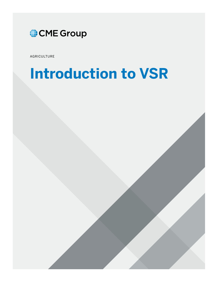

AGRICULTURE

# **Introduction to VSR**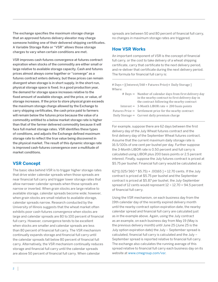The exchange specifies the maximum storage charge that an approved futures delivery elevator may charge someone holding one of their delivered shipping certificates. A Variable Storage Rate or "VSR" allows those storage charges to vary when certain conditions are met.

VSR improves cash-futures convergence at futures contract expiration when stocks of the commodity are either small or large relative to available storage capacity. Cash and futures prices almost always come together or "converge" as a futures contract enters delivery, but these prices can remain divergent when storage is in short supply. In the short-run, physical storage space is fixed. In a good production year, the demand for storage space increases relative to the fixed amount of available storage, and the price, or value, of storage increases. If the price to store physical grain exceeds the maximum storage charge allowed by the Exchange to carry shipping certificates, the cash price paid to farmers will remain below the futures price because the value of a commodity entitled to a below market storage rate is higher than that of the farmer delivered commodity because it will face full market storage rates. VSR identifies these types of conditions, and adjusts the Exchange defined maximum storage rate to reflect the true value being discovered in the physical market. The result of this dynamic storage rate is improved cash-futures convergence over a multitude of market conditions.

### **VSR Concept**

The basic idea behind VSR is to trigger higher storage rates that drive wider calendar spreads when those spreads are near financial full carry and trigger lower storage rates that allow narrower calendar spreads when those spreads are narrow or inverted. When grain stocks are large relative to available storage, calendar spreads become wide; however, when grain stocks are small relative to available storage, calendar spreads narrow. Research conducted by the University of Illinois suggests that the wheat market often exhibits poor cash-futures convergence when stocks are large and calendar spreads are 80 to 100 percent of financial full carry. However, convergence tends to be excellent when stocks are smaller and calendar spreads are less than 80 percent of financial full carry. The VSR mechanism continually expands storage and financial full carry until the calendar spreads fall below 80 percent of financial full carry. Alternatively, the VSR mechanism continually reduces storage and financial full carry until the calendar spreads are above 50 percent of financial full carry. When calendar

spreads are between 50 and 80 percent of financial full carry, no changes in maximum storage rates are triggered.

### **How VSR Works**

An important component of VSR is the concept of financial full carry, or the cost to take delivery of a wheat shipping certificate, carry that certificate to the next delivery period, and re-deliver that certificate during the next delivery period. The formula for financial full carry is:

# Days ∗ [(Interest/360 ∗ Futures Price)+ Daily Storage ] Where:

| $#$ Days = Number of calendar days from first delivery day<br>in the nearby contract to first delivery day in<br>the contract following the nearby contract |
|-------------------------------------------------------------------------------------------------------------------------------------------------------------|
| $Interest = 3$ -Month LIBOR rate $+ 200$ basis points                                                                                                       |
| Futures Price $=$ Settlement price for the nearby contract                                                                                                  |
| Daily Storage $=$ Current daily premium charge                                                                                                              |

For example, suppose there are 62 days between the first delivery day of the July Wheat futures contract and the first delivery day of the September Wheat futures contract. Assume that the current maximum daily storage rate is 16.5/100s of one cent per bushel per day. Further suppose the 3-Month LIBOR rate is 0.50 percent and full carry is calculated using LIBOR plus 200 basis points or 2.5 percent interest. Finally, suppose the July futures contract is priced at \$5.75 per bushel. Financial full carry would be calculated as:

 $62*$ [(.025/360  $*$  \$5.75) + .00165 ] = 12.70 cents. If the July contract is priced at \$5.75 per bushel and the September contract is priced at \$5.87 per bushel, the July-September spread of 12 cents would represent  $12 \div 12.70 = 94.5$  percent of financial full carry.

Using the VSR mechanism, on each business day from the 19th calendar day of the recently expired delivery month until the nearby contract option expiration date, the nearby calendar spread and financial full carry are calculated just as in the example above. Again, using the July contract as an example, on each business day from May 19 (May is the previous delivery month) until June 25 (June 25 is the July option expiration date) the July – September spread is calculated, financial full carry is calculated and the July – September spread is reported relative to financial full carry. The exchange also calculates the running average of this spread relative to financial full carry each business day on its website at [www.cmegroup.com/vsr.](www.cmegroup.com/vsr)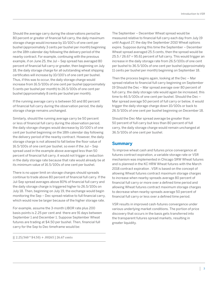Should the average carry during the observations period be 80 percent or greater of financial full carry, the daily maximum storage charge would increase by 10/100's of one cent per bushel (approximately 3 cents per bushel per month) beginning on the 18th calendar day following the delivery period of the nearby contract. For example, continuing with the previous example, if on June 25, the Jul – Sep spread has averaged 80 percent of financial full carry or greater, then beginning on July 18, the daily storage charge for all outstanding wheat shipping certificates will increase by 10/100's of one cent per bushel. Thus, if this was to occur, the daily storage charge would increase from 16.5/100s of one cent per bushel (approximately 5 cents per bushel per month) to 26.5/100s of one cent per bushel (approximately 8 cents per bushel per month).

If the running average carry is between 50 and 80 percent of financial full carry during the observation period, the daily storage charge remains unchanged.

Similarly, should the running average carry be 50 percent or less of financial full carry during the observation period, the daily storage charges would decrease by 10/100's of one cent per bushel beginning on the 18th calendar day following the delivery period of the nearby contract. However, the daily storage charge is not allowed to fall below the floor value of 16.5/100s of one cent per bushel, so even if the Jul – Sep spread used in the example above averaged less than 50 percent of financial full carry, it would not trigger a reduction in the daily storage rate because that rate would already be at its minimum value of 16.5/100s of one cent per bushel.

There is no upper limit on storage charges should spreads continue to trade above 80 percent of financial full carry. If the Jul-Sep spread averages above 80% of financial full carry and the daily storage charge is triggered higher to 26.5/100s on July 18. Then, beginning on July 19, the exchange would begin monitoring the Sep – Dec spread relative to full financial carry, which would now be larger because of the higher storage rate.

For example, assume the 3-month LIBOR rate plus 200 basis points is 2.25 per cent and there are 91 days between September 1 and December 1. Suppose September Wheat futures are trading at \$4.50 per bushel. Then, financial full carry for the Sep to Dec timeframe would be:

 $[(2.25/360 * $4.50) + .00265]$  26.67 cents

The September – December Wheat spread would be measured relative to financial full carry each day from July 19 until August 27, the day the September 2010 Wheat options expire. Suppose during this time the September – December Wheat spread averaged 25.5 cents, then the spread would be 25.5 / 26.67 = 95.61 percent of full carry. This would trigger an increase in the daily storage rate from 26.5/100s of one cent per bushel to 36.5/100s of one cent per bushel (approximately 11 cents per bushel per month) beginning on September 18.

Then the process begins again, looking at the Dec – Mar spread relative to financial full carry beginning on September 19 Should the Dec – Mar spread average over 80 percent of full carry, the daily storage rate would again be increased, this time to 46.5/100s of one cent per bushel. Should the Dec – Mar spread average 50 percent of full carry or below, it would trigger the daily storage charge down 10/100s or back to 26.5/100s of one cent per bushel beginning on December 18.

Should the Dec-Mar spread average be greater than 50 percent of full carry but less than 80 percent of full carry, the daily storage charge would remain unchanged at 36.5/100s of one cent per bushel.

### **Summary**

To improve wheat cash and futures price convergence at futures contract expiration, a variable storage rate or VSR mechanism was implemented in Chicago SRW Wheat futures and is planned in the KC HRW Wheat futures with the March 2018 contract expiration . VSR is based on the concept of allowing Wheat futures contract maximum storage charges to increase when nearby spreads average 80 percent of financial full carry or more over a defined time period and allowing Wheat futures contract maximum storage charges to decrease when nearby spreads average 50 percent of financial full carry or less over a defined time period.

VSR results in improved cash-futures convergence under various underlying market conditions. The portion of price discovery that occurs in the basis gets transferred into the transparent futures spread markets, resulting in greater liquidity.